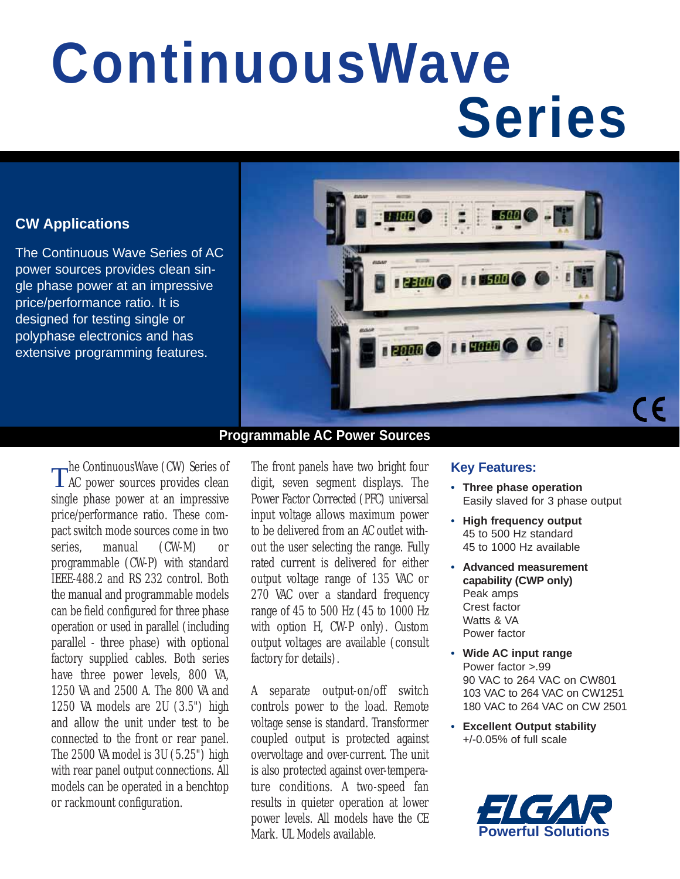# **ContinuousWave Series**

# **CW Applications**

The Continuous Wave Series of AC power sources provides clean single phase power at an impressive price/performance ratio. It is designed for testing single or polyphase electronics and has extensive programming features.



# **Programmable AC Power Sources**

The ContinuousWave (CW) Series of AC power sources provides clean single phase power at an impressive price/performance ratio. These compact switch mode sources come in two series, manual (CW-M) or programmable (CW-P) with standard IEEE-488.2 and RS 232 control. Both the manual and programmable models can be field configured for three phase operation or used in parallel (including parallel - three phase) with optional factory supplied cables. Both series have three power levels, 800 VA, 1250 VA and 2500 A. The 800 VA and 1250 VA models are 2U (3.5") high and allow the unit under test to be connected to the front or rear panel. The 2500 VA model is 3U (5.25") high with rear panel output connections. All models can be operated in a benchtop or rackmount configuration.

The front panels have two bright four digit, seven segment displays. The Power Factor Corrected (PFC) universal input voltage allows maximum power to be delivered from an AC outlet without the user selecting the range. Fully rated current is delivered for either output voltage range of 135 VAC or 270 VAC over a standard frequency range of 45 to 500 Hz (45 to 1000 Hz with option H, CW-P only). Custom output voltages are available (consult factory for details).

A separate output-on/off switch controls power to the load. Remote voltage sense is standard. Transformer coupled output is protected against overvoltage and over-current. The unit is also protected against over-temperature conditions. A two-speed fan results in quieter operation at lower power levels. All models have the CE Mark. UL Models available.

#### **Key Features:**

- **Three phase operation** Easily slaved for 3 phase output
- **High frequency output** 45 to 500 Hz standard 45 to 1000 Hz available
- **Advanced measurement capability (CWP only)** Peak amps Crest factor Watts & VA Power factor
- **Wide AC input range** Power factor >.99 90 VAC to 264 VAC on CW801 103 VAC to 264 VAC on CW1251 180 VAC to 264 VAC on CW 2501
- **Excellent Output stability** +/-0.05% of full scale

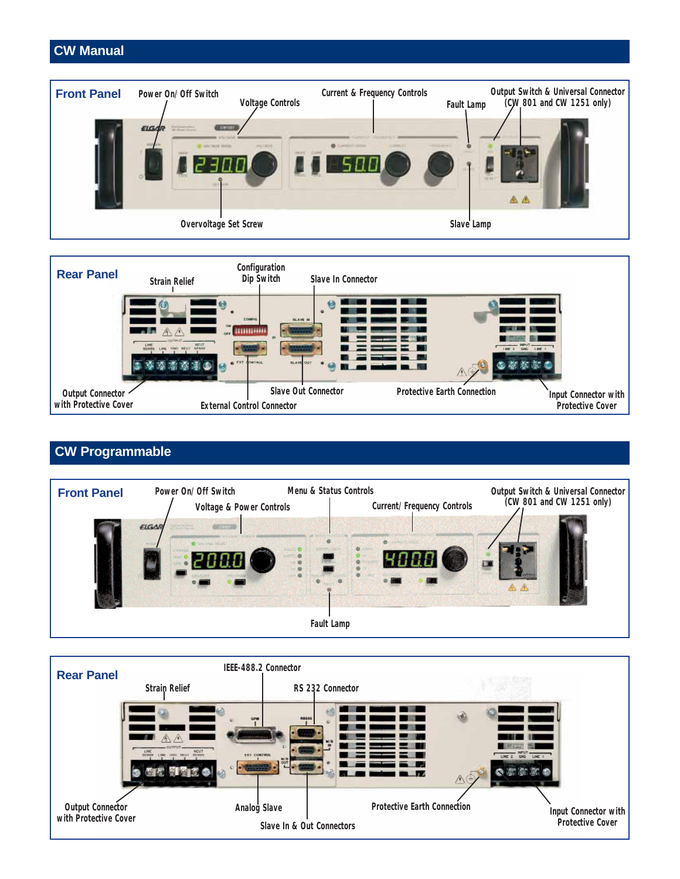### **CW Manual**





# **CW Programmable**



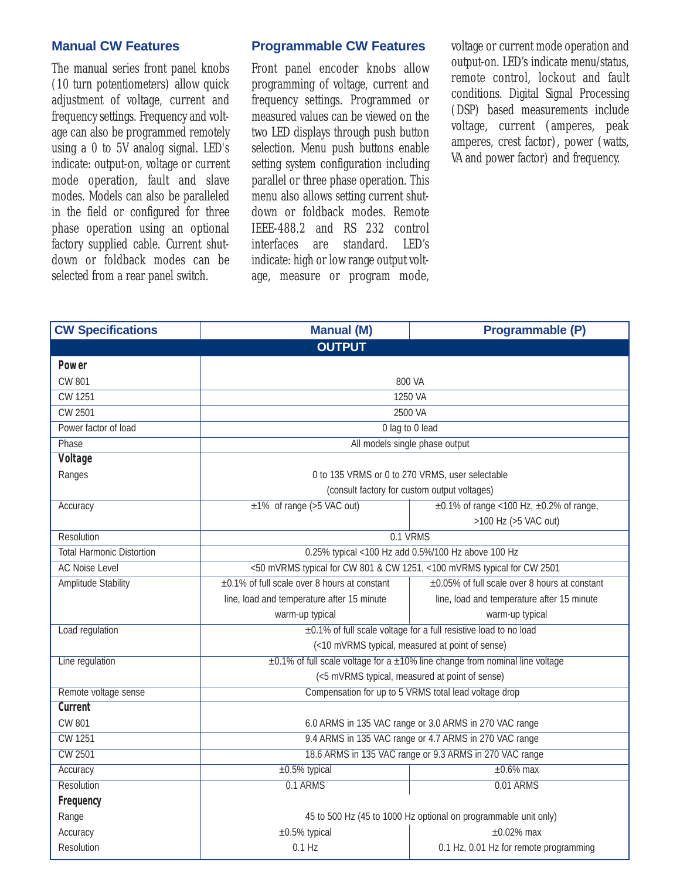#### **Manual CW Features**

The manual series front panel knobs (10 turn potentiometers) allow quick adjustment of voltage, current and frequency settings. Frequency and voltage can also be programmed remotely using a 0 to 5V analog signal. LED's indicate: output-on, voltage or current mode operation, fault and slave modes. Models can also be paralleled in the field or configured for three phase operation using an optional factory supplied cable. Current shutdown or foldback modes can be selected from a rear panel switch.

#### **Programmable CW Features**

Front panel encoder knobs allow programming of voltage, current and frequency settings. Programmed or measured values can be viewed on the two LED displays through push button selection. Menu push buttons enable setting system configuration including parallel or three phase operation. This menu also allows setting current shutdown or foldback modes. Remote IEEE-488.2 and RS 232 control interfaces are standard. LED's indicate: high or low range output voltage, measure or program mode,

voltage or current mode operation and output-on. LED's indicate menu/status, remote control, lockout and fault conditions. Digital Signal Processing (DSP) based measurements include voltage, current (amperes, peak amperes, crest factor), power (watts, VA and power factor) and frequency.

| <b>CW Specifications</b>         | <b>Manual (M)</b>                                                                      | Programmable (P)                                     |  |  |
|----------------------------------|----------------------------------------------------------------------------------------|------------------------------------------------------|--|--|
|                                  | <b>OUTPUT</b>                                                                          |                                                      |  |  |
| <b>Power</b>                     |                                                                                        |                                                      |  |  |
| <b>CW 801</b>                    | 800 VA                                                                                 |                                                      |  |  |
| CW 1251                          | 1250 VA                                                                                |                                                      |  |  |
| CW 2501                          | 2500 VA                                                                                |                                                      |  |  |
| Power factor of load             | 0 lag to 0 lead                                                                        |                                                      |  |  |
| <b>Phase</b>                     | All models single phase output                                                         |                                                      |  |  |
| <b>Voltage</b>                   |                                                                                        |                                                      |  |  |
| Ranges                           | 0 to 135 VRMS or 0 to 270 VRMS, user selectable                                        |                                                      |  |  |
|                                  | (consult factory for custom output voltages)                                           |                                                      |  |  |
| Accuracy                         | $±1\%$ of range (>5 VAC out)                                                           | $\pm 0.1\%$ of range < 100 Hz, $\pm 0.2\%$ of range, |  |  |
|                                  |                                                                                        | >100 Hz (>5 VAC out)                                 |  |  |
| Resolution                       | 0.1 VRMS                                                                               |                                                      |  |  |
| <b>Total Harmonic Distortion</b> | 0.25% typical <100 Hz add 0.5%/100 Hz above 100 Hz                                     |                                                      |  |  |
| <b>AC Noise Level</b>            | <50 mVRMS typical for CW 801 & CW 1251, <100 mVRMS typical for CW 2501                 |                                                      |  |  |
| Amplitude Stability              | ±0.1% of full scale over 8 hours at constant                                           | ±0.05% of full scale over 8 hours at constant        |  |  |
|                                  | line, load and temperature after 15 minute                                             | line, load and temperature after 15 minute           |  |  |
|                                  | warm-up typical                                                                        | warm-up typical                                      |  |  |
| Load regulation                  | ±0.1% of full scale voltage for a full resistive load to no load                       |                                                      |  |  |
|                                  | (<10 mVRMS typical, measured at point of sense)                                        |                                                      |  |  |
| Line regulation                  | $\pm$ 0.1% of full scale voltage for a $\pm$ 10% line change from nominal line voltage |                                                      |  |  |
|                                  | (<5 mVRMS typical, measured at point of sense)                                         |                                                      |  |  |
| Remote voltage sense             | Compensation for up to 5 VRMS total lead voltage drop                                  |                                                      |  |  |
| <b>Current</b>                   |                                                                                        |                                                      |  |  |
| <b>CW 801</b>                    | 6.0 ARMS in 135 VAC range or 3.0 ARMS in 270 VAC range                                 |                                                      |  |  |
| <b>CW 1251</b>                   | 9.4 ARMS in 135 VAC range or 4.7 ARMS in 270 VAC range                                 |                                                      |  |  |
| <b>CW 2501</b>                   | 18.6 ARMS in 135 VAC range or 9.3 ARMS in 270 VAC range                                |                                                      |  |  |
| Accuracy                         | $±0.5%$ typical                                                                        | $±0.6\%$ max                                         |  |  |
| <b>Resolution</b>                | 0.1 ARMS                                                                               | 0.01 ARMS                                            |  |  |
| Frequency                        |                                                                                        |                                                      |  |  |
| Range                            | 45 to 500 Hz (45 to 1000 Hz optional on programmable unit only)                        |                                                      |  |  |
| Accuracy                         | $\pm 0.5\%$ typical                                                                    | $\pm 0.02\%$ max                                     |  |  |
| Resolution                       | $0.1$ Hz                                                                               | 0.1 Hz, 0.01 Hz for remote programming               |  |  |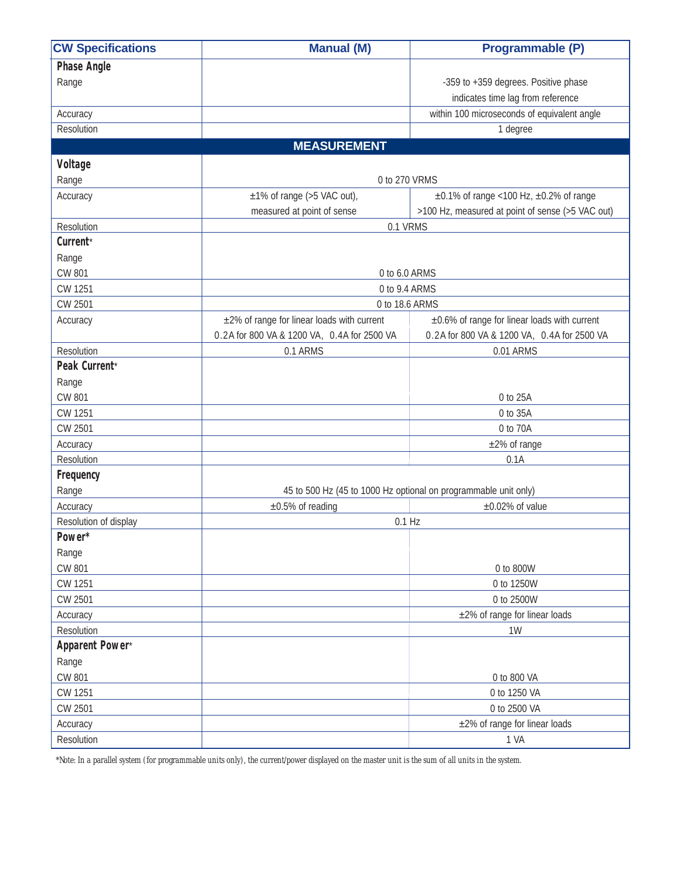| <b>CW Specifications</b> | <b>Manual (M)</b>                           | Programmable (P)                                                |  |
|--------------------------|---------------------------------------------|-----------------------------------------------------------------|--|
| <b>Phase Angle</b>       |                                             |                                                                 |  |
| Range                    |                                             | -359 to +359 degrees. Positive phase                            |  |
|                          |                                             | indicates time lag from reference                               |  |
| Accuracy                 |                                             | within 100 microseconds of equivalent angle                     |  |
| Resolution               |                                             | 1 degree                                                        |  |
|                          | <b>MEASUREMENT</b>                          |                                                                 |  |
| <b>Voltage</b>           |                                             |                                                                 |  |
| Range                    | 0 to 270 VRMS                               |                                                                 |  |
| Accuracy                 | $\pm 1\%$ of range (>5 VAC out),            | $\pm 0.1\%$ of range < 100 Hz, $\pm 0.2\%$ of range             |  |
|                          | measured at point of sense                  | >100 Hz, measured at point of sense (>5 VAC out)                |  |
| Resolution               | 0.1 VRMS                                    |                                                                 |  |
| Current*                 |                                             |                                                                 |  |
| Range                    |                                             |                                                                 |  |
| CW 801                   | 0 to 6.0 ARMS                               |                                                                 |  |
| CW 1251                  | 0 to 9.4 ARMS                               |                                                                 |  |
| CW 2501                  | 0 to 18.6 ARMS                              |                                                                 |  |
| Accuracy                 | ±2% of range for linear loads with current  | ±0.6% of range for linear loads with current                    |  |
|                          | 0.2A for 800 VA & 1200 VA, 0.4A for 2500 VA | 0.2A for 800 VA & 1200 VA, 0.4A for 2500 VA                     |  |
| Resolution               | 0.1 ARMS                                    | 0.01 ARMS                                                       |  |
| Peak Current*            |                                             |                                                                 |  |
| Range                    |                                             |                                                                 |  |
| <b>CW 801</b>            |                                             | 0 to 25A                                                        |  |
| CW 1251                  |                                             | 0 to 35A                                                        |  |
| CW 2501                  |                                             | 0 to 70A                                                        |  |
| Accuracy                 |                                             | ±2% of range                                                    |  |
| Resolution               |                                             | 0.1A                                                            |  |
| Frequency                |                                             |                                                                 |  |
| Range                    |                                             | 45 to 500 Hz (45 to 1000 Hz optional on programmable unit only) |  |
| Accuracy                 | $\pm 0.5\%$ of reading                      | $\pm 0.02\%$ of value                                           |  |
| Resolution of display    |                                             | $0.1$ Hz                                                        |  |
| Power*                   |                                             |                                                                 |  |
| Range                    |                                             |                                                                 |  |
| CW 801                   |                                             | 0 to 800W                                                       |  |
| CW 1251                  |                                             | 0 to 1250W                                                      |  |
| CW 2501                  |                                             | 0 to 2500W                                                      |  |
| Accuracy                 |                                             | $\pm 2\%$ of range for linear loads                             |  |
| Resolution               |                                             | 1W                                                              |  |
| Apparent Power*          |                                             |                                                                 |  |
| Range                    |                                             |                                                                 |  |
| CW 801                   |                                             | 0 to 800 VA                                                     |  |
| CW 1251                  |                                             | 0 to 1250 VA                                                    |  |
| CW 2501                  |                                             | 0 to 2500 VA                                                    |  |
| Accuracy                 |                                             | ±2% of range for linear loads                                   |  |
| Resolution               |                                             | 1 VA                                                            |  |

*\*Note: In a parallel system (for programmable units only), the current/power displayed on the master unit is the sum of all units in the system.*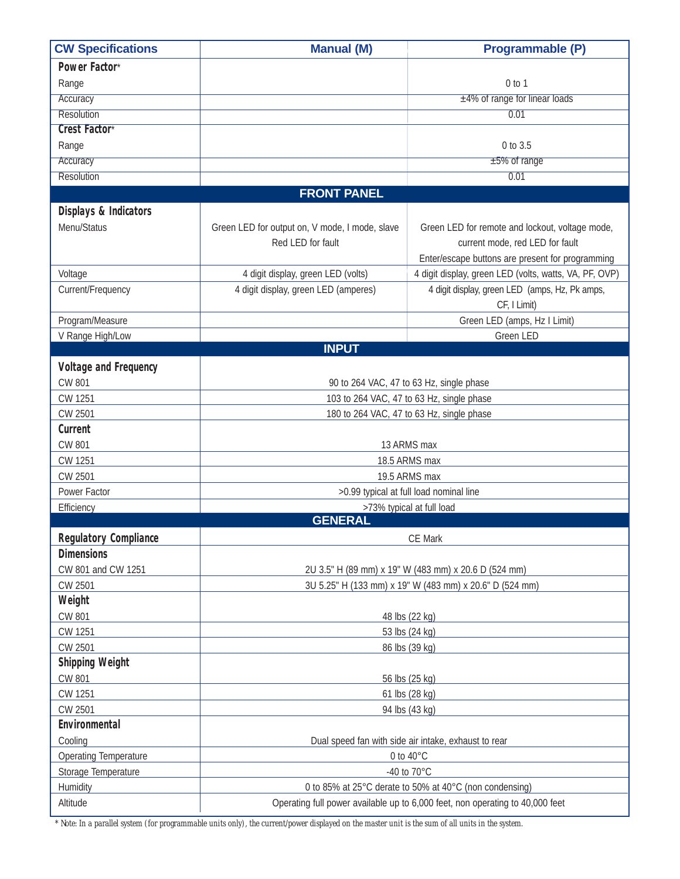| <b>CW Specifications</b>         | <b>Manual (M)</b>                                                                                               | Programmable (P)                                                              |  |
|----------------------------------|-----------------------------------------------------------------------------------------------------------------|-------------------------------------------------------------------------------|--|
| Power Factor*                    |                                                                                                                 |                                                                               |  |
| Range                            |                                                                                                                 | $0$ to $1$                                                                    |  |
| Accuracy                         |                                                                                                                 | $±4\%$ of range for linear loads                                              |  |
| <b>Resolution</b>                |                                                                                                                 | 0.01                                                                          |  |
| <b>Crest Factor*</b>             |                                                                                                                 |                                                                               |  |
| Range                            |                                                                                                                 | 0 to 3.5                                                                      |  |
| Accuracy                         |                                                                                                                 | $±5\%$ of range                                                               |  |
| <b>Resolution</b>                |                                                                                                                 | 0.01                                                                          |  |
|                                  | <b>FRONT PANEL</b>                                                                                              |                                                                               |  |
| <b>Displays &amp; Indicators</b> |                                                                                                                 |                                                                               |  |
| Menu/Status                      | Green LED for output on, V mode, I mode, slave                                                                  | Green LED for remote and lockout, voltage mode,                               |  |
|                                  | Red LED for fault                                                                                               | current mode, red LED for fault                                               |  |
|                                  |                                                                                                                 | Enter/escape buttons are present for programming                              |  |
| Voltage                          | 4 digit display, green LED (volts)                                                                              | 4 digit display, green LED (volts, watts, VA, PF, OVP)                        |  |
| Current/Frequency                | 4 digit display, green LED (amperes)                                                                            | 4 digit display, green LED (amps, Hz, Pk amps,                                |  |
|                                  |                                                                                                                 | CF, I Limit)                                                                  |  |
| Program/Measure                  |                                                                                                                 | Green LED (amps, Hz I Limit)                                                  |  |
| V Range High/Low                 |                                                                                                                 | Green LED                                                                     |  |
|                                  | <b>INPUT</b>                                                                                                    |                                                                               |  |
| <b>Voltage and Frequency</b>     |                                                                                                                 |                                                                               |  |
| <b>CW 801</b>                    |                                                                                                                 | 90 to 264 VAC, 47 to 63 Hz, single phase                                      |  |
| CW 1251                          | 103 to 264 VAC, 47 to 63 Hz, single phase                                                                       |                                                                               |  |
| CW 2501                          |                                                                                                                 | 180 to 264 VAC, 47 to 63 Hz, single phase                                     |  |
| <b>Current</b>                   |                                                                                                                 |                                                                               |  |
| <b>CW 801</b>                    |                                                                                                                 | 13 ARMS max                                                                   |  |
| CW 1251                          |                                                                                                                 | 18.5 ARMS max                                                                 |  |
| CW 2501                          | 19.5 ARMS max                                                                                                   |                                                                               |  |
| Power Factor                     |                                                                                                                 | >0.99 typical at full load nominal line                                       |  |
| Efficiency                       | <b>GENERAL</b>                                                                                                  | >73% typical at full load                                                     |  |
|                                  |                                                                                                                 |                                                                               |  |
| <b>Regulatory Compliance</b>     | CE Mark                                                                                                         |                                                                               |  |
| <b>Dimensions</b>                |                                                                                                                 |                                                                               |  |
| CW 801 and CW 1251               | 2U 3.5" H (89 mm) x 19" W (483 mm) x 20.6 D (524 mm)<br>3U 5.25" H (133 mm) x 19" W (483 mm) x 20.6" D (524 mm) |                                                                               |  |
| CW 2501<br>Weight                |                                                                                                                 |                                                                               |  |
| CW 801                           |                                                                                                                 |                                                                               |  |
| CW 1251                          | 48 lbs (22 kg)                                                                                                  |                                                                               |  |
| CW 2501                          | 53 lbs (24 kg)<br>86 lbs (39 kg)                                                                                |                                                                               |  |
| <b>Shipping Weight</b>           |                                                                                                                 |                                                                               |  |
| CW 801                           |                                                                                                                 |                                                                               |  |
| CW 1251                          | 56 lbs (25 kg)<br>61 lbs (28 kg)                                                                                |                                                                               |  |
| CW 2501                          | 94 lbs (43 kg)                                                                                                  |                                                                               |  |
| <b>Environmental</b>             |                                                                                                                 |                                                                               |  |
| Cooling                          |                                                                                                                 | Dual speed fan with side air intake, exhaust to rear                          |  |
| Operating Temperature            | 0 to $40^{\circ}$ C                                                                                             |                                                                               |  |
| Storage Temperature              | -40 to 70°C                                                                                                     |                                                                               |  |
| Humidity                         | 0 to 85% at 25°C derate to 50% at 40°C (non condensing)                                                         |                                                                               |  |
| Altitude                         |                                                                                                                 | Operating full power available up to 6,000 feet, non operating to 40,000 feet |  |
|                                  |                                                                                                                 |                                                                               |  |

*\* Note: In a parallel system (for programmable units only), the current/power displayed on the master unit is the sum of all units in the system.*